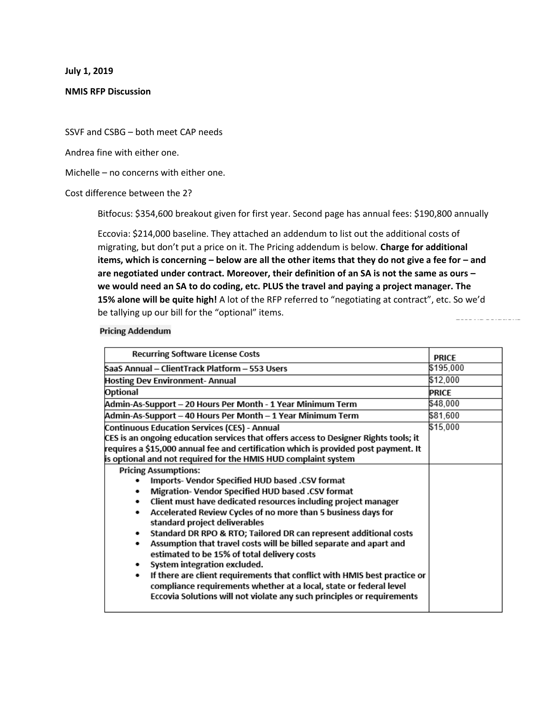**July 1, 2019**

### **NMIS RFP Discussion**

SSVF and CSBG – both meet CAP needs

Andrea fine with either one.

Michelle – no concerns with either one.

Cost difference between the 2?

Bitfocus: \$354,600 breakout given for first year. Second page has annual fees: \$190,800 annually

Eccovia: \$214,000 baseline. They attached an addendum to list out the additional costs of migrating, but don't put a price on it. The Pricing addendum is below. **Charge for additional items, which is concerning – below are all the other items that they do not give a fee for – and are negotiated under contract. Moreover, their definition of an SA is not the same as ours – we would need an SA to do coding, etc. PLUS the travel and paying a project manager. The 15% alone will be quite high!** A lot of the RFP referred to "negotiating at contract", etc. So we'd be tallying up our bill for the "optional" items. and the company of the

#### **Pricing Addendum**

| <b>Recurring Software License Costs</b>                                                                                                                                                                                        | <b>PRICE</b> |
|--------------------------------------------------------------------------------------------------------------------------------------------------------------------------------------------------------------------------------|--------------|
| SaaS Annual - ClientTrack Platform - 553 Users                                                                                                                                                                                 | \$195,000    |
| Hosting Dev Environment- Annual                                                                                                                                                                                                | \$12,000     |
| Optional                                                                                                                                                                                                                       | PRICE        |
| Admin-As-Support – 20 Hours Per Month - 1 Year Minimum Term                                                                                                                                                                    | \$48,000     |
| Admin-As-Support – 40 Hours Per Month – 1 Year Minimum Term                                                                                                                                                                    | \$81,600     |
| Continuous Education Services (CES) - Annual                                                                                                                                                                                   | \$15,000     |
| CES is an ongoing education services that offers access to Designer Rights tools; it                                                                                                                                           |              |
| requires a \$15,000 annual fee and certification which is provided post payment. It                                                                                                                                            |              |
| is optional and not required for the HMIS HUD complaint system                                                                                                                                                                 |              |
| <b>Pricing Assumptions:</b>                                                                                                                                                                                                    |              |
| Imports- Vendor Specified HUD based .CSV format                                                                                                                                                                                |              |
| Migration- Vendor Specified HUD based .CSV format<br>٠                                                                                                                                                                         |              |
| Client must have dedicated resources including project manager<br>٠                                                                                                                                                            |              |
| Accelerated Review Cycles of no more than 5 business days for<br>٠<br>standard project deliverables                                                                                                                            |              |
| Standard DR RPO & RTO; Tailored DR can represent additional costs<br>٠                                                                                                                                                         |              |
| Assumption that travel costs will be billed separate and apart and<br>٠<br>estimated to be 15% of total delivery costs                                                                                                         |              |
| System integration excluded.<br>٠                                                                                                                                                                                              |              |
| If there are client requirements that conflict with HMIS best practice or<br>٠<br>compliance requirements whether at a local, state or federal level<br>Eccovia Solutions will not violate any such principles or requirements |              |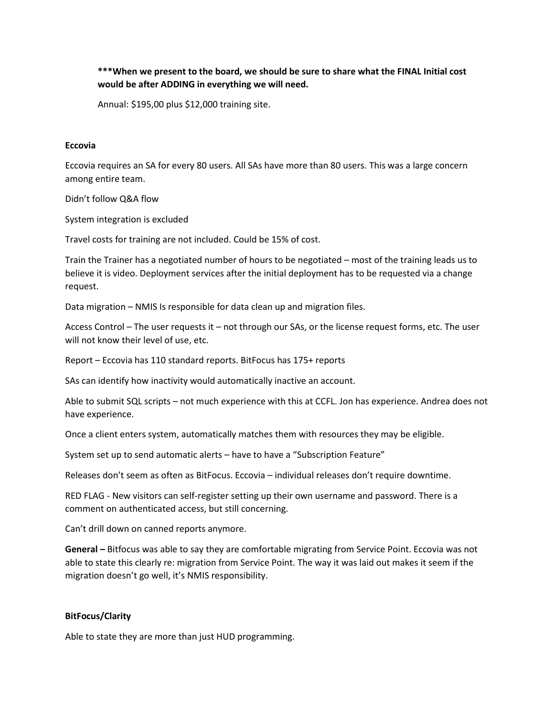# **\*\*\*When we present to the board, we should be sure to share what the FINAL Initial cost would be after ADDING in everything we will need.**

Annual: \$195,00 plus \$12,000 training site.

### **Eccovia**

Eccovia requires an SA for every 80 users. All SAs have more than 80 users. This was a large concern among entire team.

Didn't follow Q&A flow

System integration is excluded

Travel costs for training are not included. Could be 15% of cost.

Train the Trainer has a negotiated number of hours to be negotiated – most of the training leads us to believe it is video. Deployment services after the initial deployment has to be requested via a change request.

Data migration – NMIS Is responsible for data clean up and migration files.

Access Control – The user requests it – not through our SAs, or the license request forms, etc. The user will not know their level of use, etc.

Report – Eccovia has 110 standard reports. BitFocus has 175+ reports

SAs can identify how inactivity would automatically inactive an account.

Able to submit SQL scripts – not much experience with this at CCFL. Jon has experience. Andrea does not have experience.

Once a client enters system, automatically matches them with resources they may be eligible.

System set up to send automatic alerts – have to have a "Subscription Feature"

Releases don't seem as often as BitFocus. Eccovia – individual releases don't require downtime.

RED FLAG - New visitors can self-register setting up their own username and password. There is a comment on authenticated access, but still concerning.

Can't drill down on canned reports anymore.

**General –** Bitfocus was able to say they are comfortable migrating from Service Point. Eccovia was not able to state this clearly re: migration from Service Point. The way it was laid out makes it seem if the migration doesn't go well, it's NMIS responsibility.

## **BitFocus/Clarity**

Able to state they are more than just HUD programming.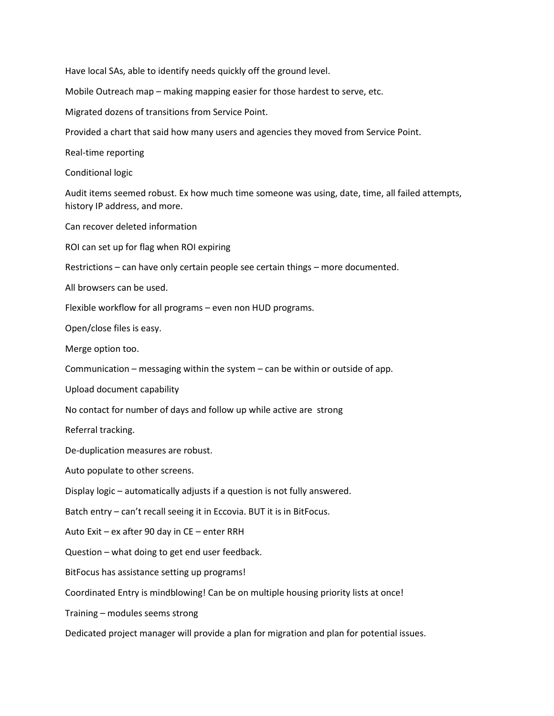Have local SAs, able to identify needs quickly off the ground level.

Mobile Outreach map – making mapping easier for those hardest to serve, etc.

Migrated dozens of transitions from Service Point.

Provided a chart that said how many users and agencies they moved from Service Point.

Real-time reporting

Conditional logic

Audit items seemed robust. Ex how much time someone was using, date, time, all failed attempts, history IP address, and more.

Can recover deleted information

ROI can set up for flag when ROI expiring

Restrictions – can have only certain people see certain things – more documented.

All browsers can be used.

Flexible workflow for all programs – even non HUD programs.

Open/close files is easy.

Merge option too.

Communication – messaging within the system – can be within or outside of app.

Upload document capability

No contact for number of days and follow up while active are strong

Referral tracking.

De-duplication measures are robust.

Auto populate to other screens.

Display logic – automatically adjusts if a question is not fully answered.

Batch entry – can't recall seeing it in Eccovia. BUT it is in BitFocus.

Auto Exit – ex after 90 day in CE – enter RRH

Question – what doing to get end user feedback.

BitFocus has assistance setting up programs!

Coordinated Entry is mindblowing! Can be on multiple housing priority lists at once!

Training – modules seems strong

Dedicated project manager will provide a plan for migration and plan for potential issues.